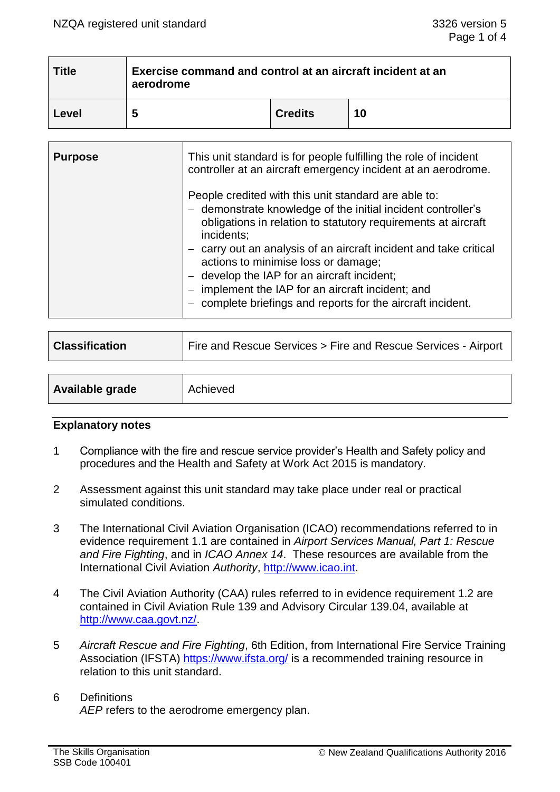| <b>Title</b> | Exercise command and control at an aircraft incident at an<br>aerodrome |                |    |  |  |
|--------------|-------------------------------------------------------------------------|----------------|----|--|--|
| Level        | ∽                                                                       | <b>Credits</b> | 10 |  |  |

| <b>Purpose</b> | This unit standard is for people fulfilling the role of incident<br>controller at an aircraft emergency incident at an aerodrome.                                                                                                                                                                                                                                                                                                                                              |  |
|----------------|--------------------------------------------------------------------------------------------------------------------------------------------------------------------------------------------------------------------------------------------------------------------------------------------------------------------------------------------------------------------------------------------------------------------------------------------------------------------------------|--|
|                | People credited with this unit standard are able to:<br>- demonstrate knowledge of the initial incident controller's<br>obligations in relation to statutory requirements at aircraft<br>incidents;<br>carry out an analysis of an aircraft incident and take critical<br>actions to minimise loss or damage;<br>$-$ develop the IAP for an aircraft incident;<br>implement the IAP for an aircraft incident; and<br>complete briefings and reports for the aircraft incident. |  |

| <b>Classification</b> | Fire and Rescue Services > Fire and Rescue Services - Airport |  |  |
|-----------------------|---------------------------------------------------------------|--|--|
|                       |                                                               |  |  |
| Available grade       | Achieved                                                      |  |  |

#### **Explanatory notes**

- 1 Compliance with the fire and rescue service provider's Health and Safety policy and procedures and the Health and Safety at Work Act 2015 is mandatory.
- 2 Assessment against this unit standard may take place under real or practical simulated conditions.
- 3 The International Civil Aviation Organisation (ICAO) recommendations referred to in evidence requirement 1.1 are contained in *Airport Services Manual, Part 1: Rescue and Fire Fighting*, and in *ICAO Annex 14*. These resources are available from the International Civil Aviation *Authority*, [http://www.icao.int.](http://www.icao.int/)
- 4 The Civil Aviation Authority (CAA) rules referred to in evidence requirement 1.2 are contained in Civil Aviation Rule 139 and Advisory Circular 139.04, available at [http://www.caa.govt.nz/.](http://www.caa.govt.nz/)
- 5 *Aircraft Rescue and Fire Fighting*, 6th Edition, from International Fire Service Training Association (IFSTA) <https://www.ifsta.org/> is a recommended training resource in relation to this unit standard.
- 6 Definitions *AEP* refers to the aerodrome emergency plan.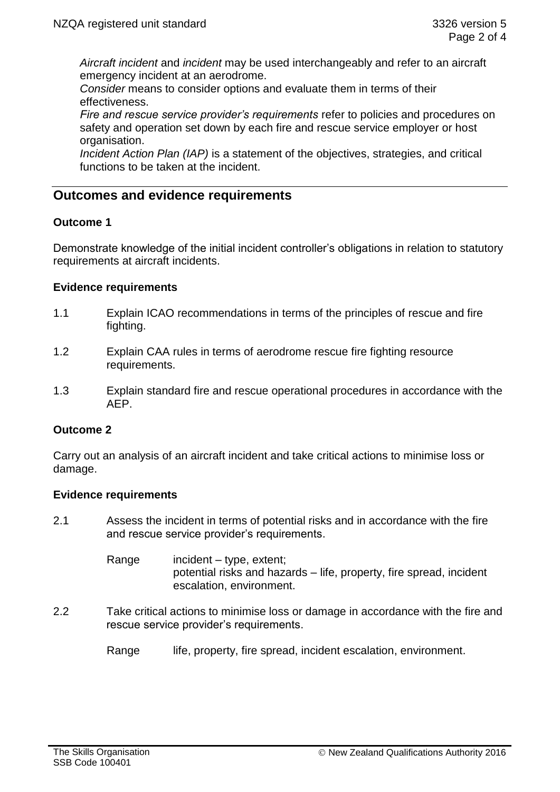*Aircraft incident* and *incident* may be used interchangeably and refer to an aircraft emergency incident at an aerodrome.

*Consider* means to consider options and evaluate them in terms of their effectiveness.

*Fire and rescue service provider's requirements* refer to policies and procedures on safety and operation set down by each fire and rescue service employer or host organisation.

*Incident Action Plan (IAP)* is a statement of the objectives, strategies, and critical functions to be taken at the incident.

# **Outcomes and evidence requirements**

## **Outcome 1**

Demonstrate knowledge of the initial incident controller's obligations in relation to statutory requirements at aircraft incidents.

## **Evidence requirements**

- 1.1 Explain ICAO recommendations in terms of the principles of rescue and fire fighting.
- 1.2 Explain CAA rules in terms of aerodrome rescue fire fighting resource requirements.
- 1.3 Explain standard fire and rescue operational procedures in accordance with the AEP.

## **Outcome 2**

Carry out an analysis of an aircraft incident and take critical actions to minimise loss or damage.

## **Evidence requirements**

2.1 Assess the incident in terms of potential risks and in accordance with the fire and rescue service provider's requirements.

> Range incident – type, extent; potential risks and hazards – life, property, fire spread, incident escalation, environment.

- 2.2 Take critical actions to minimise loss or damage in accordance with the fire and rescue service provider's requirements.
	- Range life, property, fire spread, incident escalation, environment.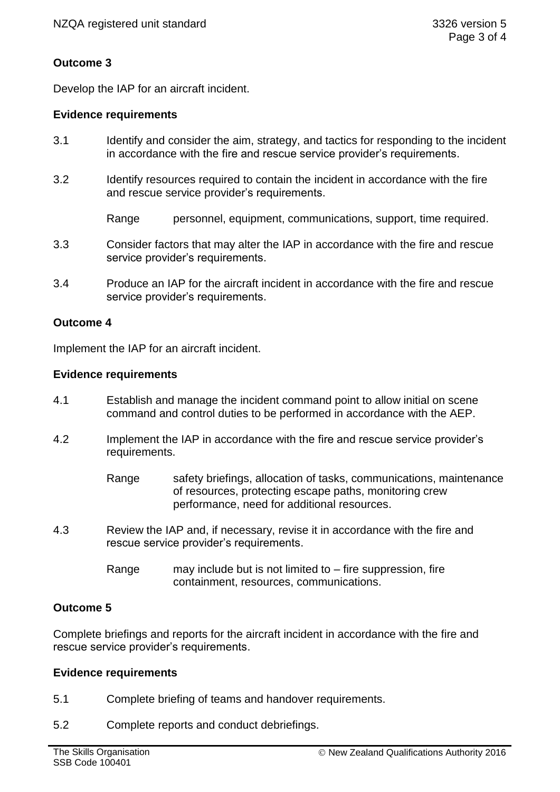# **Outcome 3**

Develop the IAP for an aircraft incident.

## **Evidence requirements**

- 3.1 Identify and consider the aim, strategy, and tactics for responding to the incident in accordance with the fire and rescue service provider's requirements.
- 3.2 Identify resources required to contain the incident in accordance with the fire and rescue service provider's requirements.

Range personnel, equipment, communications, support, time required.

- 3.3 Consider factors that may alter the IAP in accordance with the fire and rescue service provider's requirements.
- 3.4 Produce an IAP for the aircraft incident in accordance with the fire and rescue service provider's requirements.

## **Outcome 4**

Implement the IAP for an aircraft incident.

## **Evidence requirements**

- 4.1 Establish and manage the incident command point to allow initial on scene command and control duties to be performed in accordance with the AEP.
- 4.2 Implement the IAP in accordance with the fire and rescue service provider's requirements.
	- Range safety briefings, allocation of tasks, communications, maintenance of resources, protecting escape paths, monitoring crew performance, need for additional resources.
- 4.3 Review the IAP and, if necessary, revise it in accordance with the fire and rescue service provider's requirements.
	- Range may include but is not limited to  $-$  fire suppression, fire containment, resources, communications.

## **Outcome 5**

Complete briefings and reports for the aircraft incident in accordance with the fire and rescue service provider's requirements.

## **Evidence requirements**

- 5.1 Complete briefing of teams and handover requirements.
- 5.2 Complete reports and conduct debriefings.